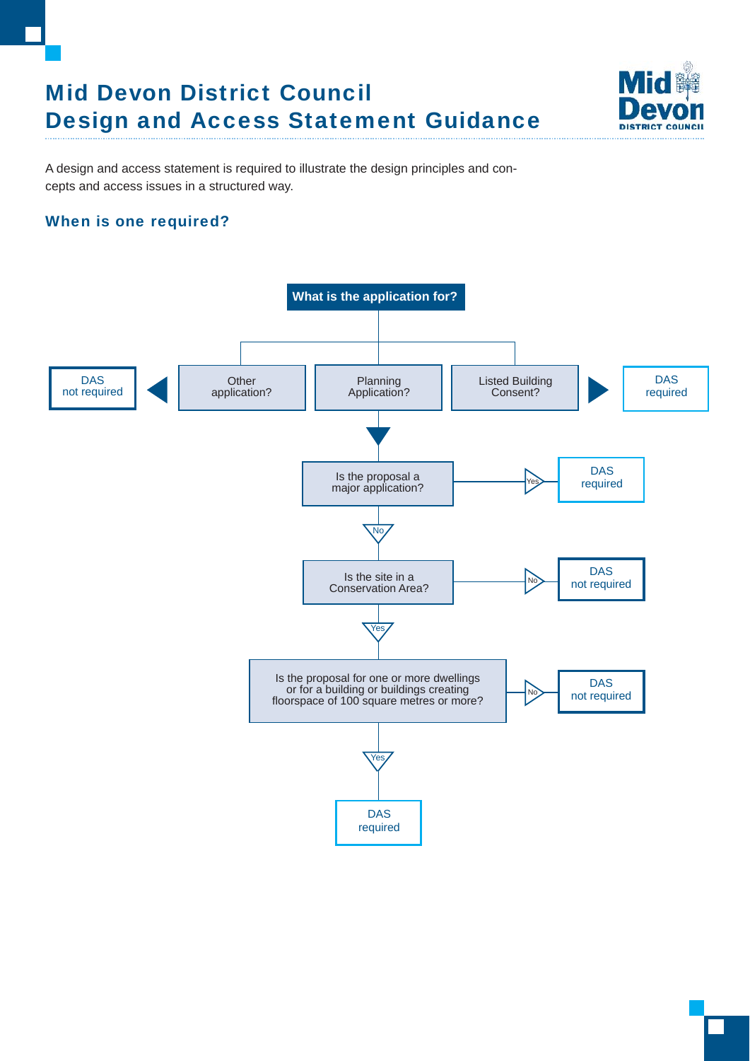# Mid Devon District Council Design and Access Statement Guidance



A design and access statement is required to illustrate the design principles and concepts and access issues in a structured way.

# When is one required?

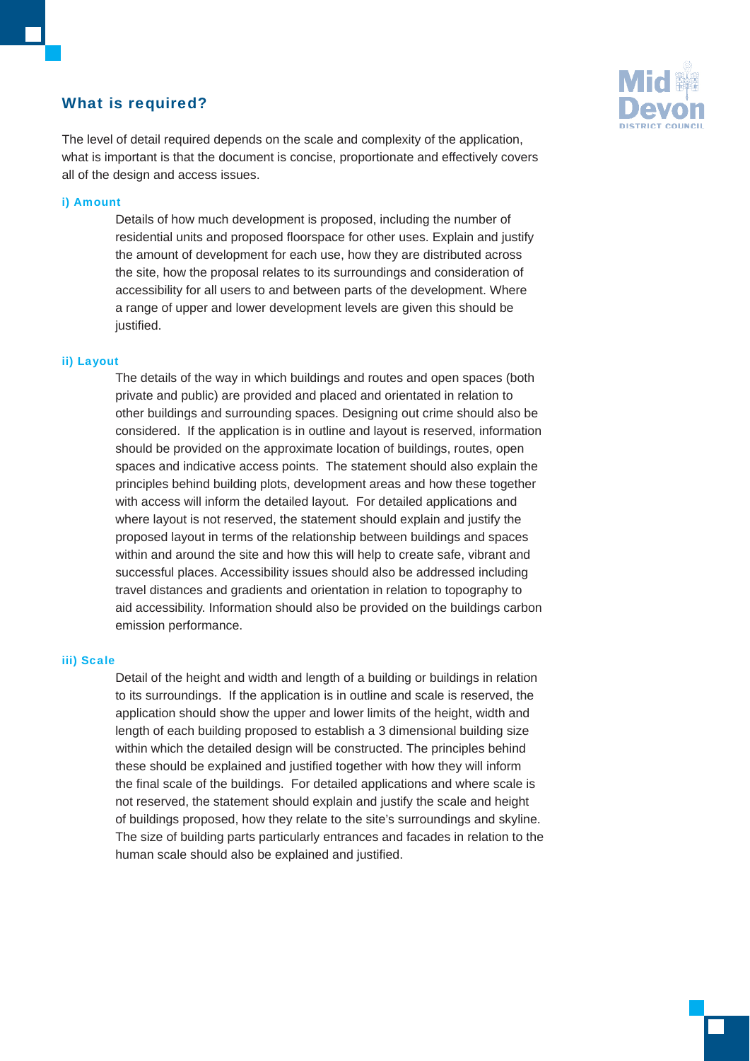## What is required?



The level of detail required depends on the scale and complexity of the application, what is important is that the document is concise, proportionate and effectively covers all of the design and access issues.

#### i) Amount

Details of how much development is proposed, including the number of residential units and proposed floorspace for other uses. Explain and justify the amount of development for each use, how they are distributed across the site, how the proposal relates to its surroundings and consideration of accessibility for all users to and between parts of the development. Where a range of upper and lower development levels are given this should be justified.

#### ii) Layout

The details of the way in which buildings and routes and open spaces (both private and public) are provided and placed and orientated in relation to other buildings and surrounding spaces. Designing out crime should also be considered. If the application is in outline and layout is reserved, information should be provided on the approximate location of buildings, routes, open spaces and indicative access points. The statement should also explain the principles behind building plots, development areas and how these together with access will inform the detailed layout. For detailed applications and where layout is not reserved, the statement should explain and justify the proposed layout in terms of the relationship between buildings and spaces within and around the site and how this will help to create safe, vibrant and successful places. Accessibility issues should also be addressed including travel distances and gradients and orientation in relation to topography to aid accessibility. Information should also be provided on the buildings carbon emission performance.

#### iii) Scale

Detail of the height and width and length of a building or buildings in relation to its surroundings. If the application is in outline and scale is reserved, the application should show the upper and lower limits of the height, width and length of each building proposed to establish a 3 dimensional building size within which the detailed design will be constructed. The principles behind these should be explained and justified together with how they will inform the final scale of the buildings. For detailed applications and where scale is not reserved, the statement should explain and justify the scale and height of buildings proposed, how they relate to the site's surroundings and skyline. The size of building parts particularly entrances and facades in relation to the human scale should also be explained and justified.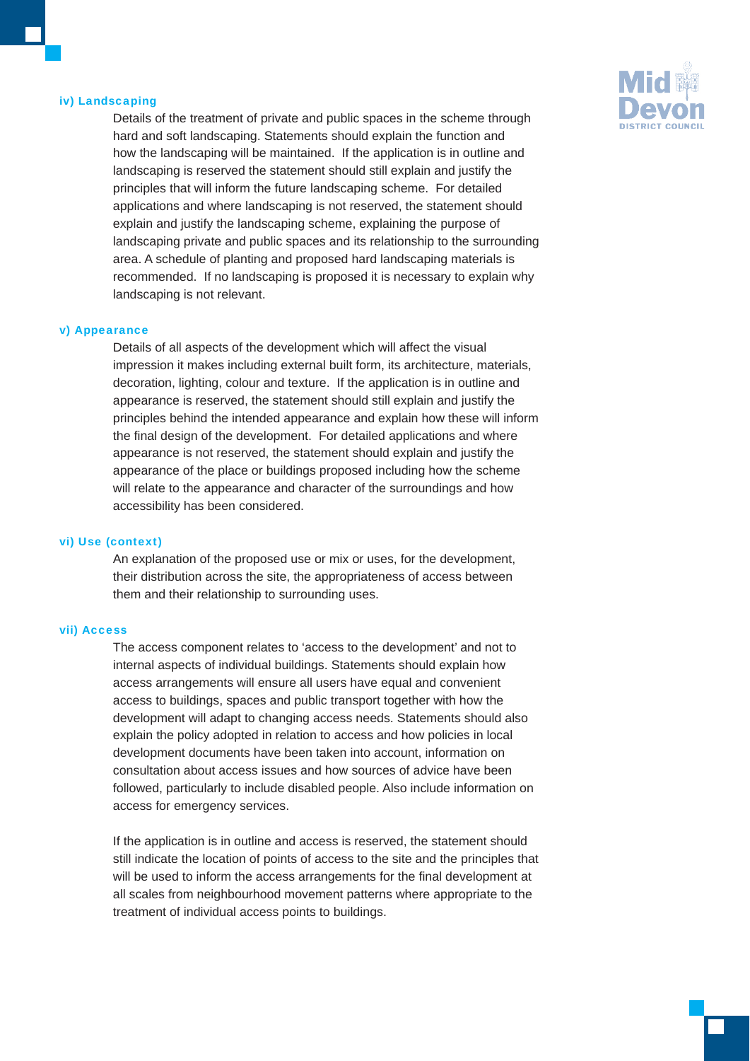#### iv) Landscaping

Details of the treatment of private and public spaces in the scheme through hard and soft landscaping. Statements should explain the function and how the landscaping will be maintained. If the application is in outline and landscaping is reserved the statement should still explain and justify the principles that will inform the future landscaping scheme. For detailed applications and where landscaping is not reserved, the statement should explain and justify the landscaping scheme, explaining the purpose of landscaping private and public spaces and its relationship to the surrounding area. A schedule of planting and proposed hard landscaping materials is recommended. If no landscaping is proposed it is necessary to explain why landscaping is not relevant.

#### v) Appearance

Details of all aspects of the development which will affect the visual impression it makes including external built form, its architecture, materials, decoration, lighting, colour and texture. If the application is in outline and appearance is reserved, the statement should still explain and justify the principles behind the intended appearance and explain how these will inform the final design of the development. For detailed applications and where appearance is not reserved, the statement should explain and justify the appearance of the place or buildings proposed including how the scheme will relate to the appearance and character of the surroundings and how accessibility has been considered.

#### vi) Use (context)

An explanation of the proposed use or mix or uses, for the development, their distribution across the site, the appropriateness of access between them and their relationship to surrounding uses.

#### vii) Access

The access component relates to 'access to the development' and not to internal aspects of individual buildings. Statements should explain how access arrangements will ensure all users have equal and convenient access to buildings, spaces and public transport together with how the development will adapt to changing access needs. Statements should also explain the policy adopted in relation to access and how policies in local development documents have been taken into account, information on consultation about access issues and how sources of advice have been followed, particularly to include disabled people. Also include information on access for emergency services.

If the application is in outline and access is reserved, the statement should still indicate the location of points of access to the site and the principles that will be used to inform the access arrangements for the final development at all scales from neighbourhood movement patterns where appropriate to the treatment of individual access points to buildings.